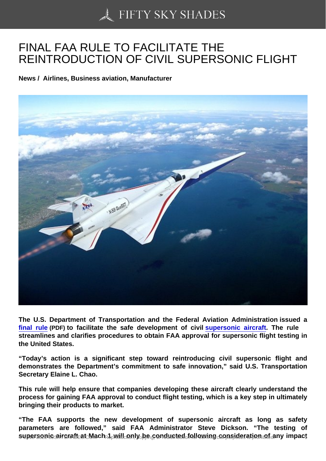## [FINAL FAA RULE TO F](https://50skyshades.com)ACILITATE THE REINTRODUCTION OF CIVIL SUPERSONIC FLIGHT

News / Airlines, Business aviation, Manufacturer

The U.S. Department of Transportation and the Federal Aviation Administration issued a final rule (PDF) to facilitate the safe development of civil supersonic aircraft. The rule streamlines and clarifies procedures to obtain FAA approval for supersonic flight testing in the United States.

["Today's](https://www.faa.gov/news/media/attachments/SFA_Supersonic_Final_Rule.pdf) action is a significant step toward reintroducing [civil supersonic flight](https://www.faa.gov/news/fact_sheets/news_story.cfm?newsId=22754) and demonstrates the Department's commitment to safe innovation," said U.S. Transportation Secretary Elaine L. Chao.

This rule will help ensure that companies developing these aircraft clearly understand the process for gaining FAA approval to conduct flight testing, which is a key step in ultimately bringing their products to market.

"The FAA supports the new development of supersonic aircraft as long as safety parameters are followed," said FAA Administrator Steve Dickson. "The testing of  $s$ upersonic aircraft at Mach 1 rwill only be conducted following consideration of any impact  $\frac{1}{100}$